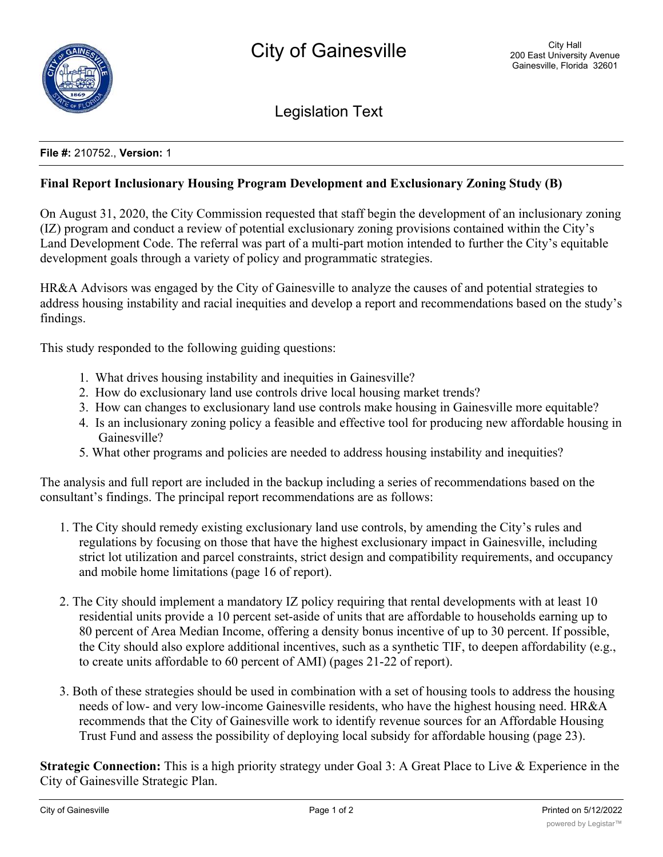

Legislation Text

## **File #:** 210752., **Version:** 1

## **Final Report Inclusionary Housing Program Development and Exclusionary Zoning Study (B)**

On August 31, 2020, the City Commission requested that staff begin the development of an inclusionary zoning (IZ) program and conduct a review of potential exclusionary zoning provisions contained within the City's Land Development Code. The referral was part of a multi-part motion intended to further the City's equitable development goals through a variety of policy and programmatic strategies.

HR&A Advisors was engaged by the City of Gainesville to analyze the causes of and potential strategies to address housing instability and racial inequities and develop a report and recommendations based on the study's findings.

This study responded to the following guiding questions:

- 1. What drives housing instability and inequities in Gainesville?
- 2. How do exclusionary land use controls drive local housing market trends?
- 3. How can changes to exclusionary land use controls make housing in Gainesville more equitable?
- 4. Is an inclusionary zoning policy a feasible and effective tool for producing new affordable housing in Gainesville?
- 5. What other programs and policies are needed to address housing instability and inequities?

The analysis and full report are included in the backup including a series of recommendations based on the consultant's findings. The principal report recommendations are as follows:

- 1. The City should remedy existing exclusionary land use controls, by amending the City's rules and regulations by focusing on those that have the highest exclusionary impact in Gainesville, including strict lot utilization and parcel constraints, strict design and compatibility requirements, and occupancy and mobile home limitations (page 16 of report).
- 2. The City should implement a mandatory IZ policy requiring that rental developments with at least 10 residential units provide a 10 percent set-aside of units that are affordable to households earning up to 80 percent of Area Median Income, offering a density bonus incentive of up to 30 percent. If possible, the City should also explore additional incentives, such as a synthetic TIF, to deepen affordability (e.g., to create units affordable to 60 percent of AMI) (pages 21-22 of report).
- 3. Both of these strategies should be used in combination with a set of housing tools to address the housing needs of low- and very low-income Gainesville residents, who have the highest housing need. HR&A recommends that the City of Gainesville work to identify revenue sources for an Affordable Housing Trust Fund and assess the possibility of deploying local subsidy for affordable housing (page 23).

**Strategic Connection:** This is a high priority strategy under Goal 3: A Great Place to Live & Experience in the City of Gainesville Strategic Plan.